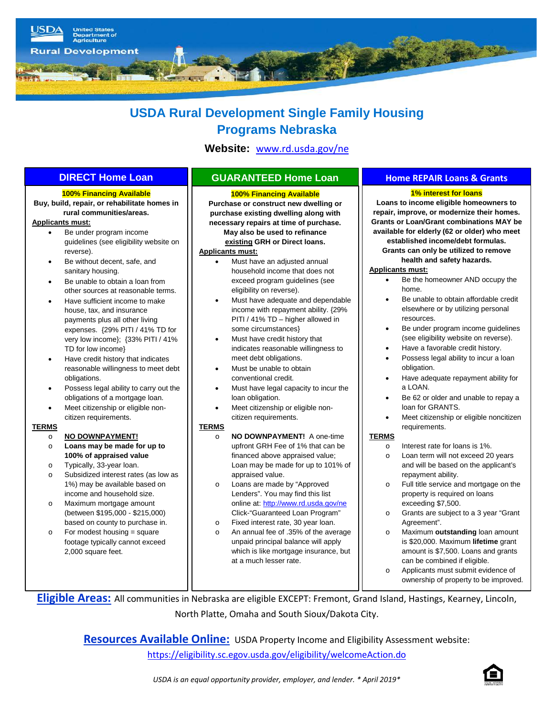

# **USDA Rural Development Single Family Housing Programs Nebraska**

**Website:** [www.rd.usda.gov/ne](http://www.rd.usda.gov/ne) 

### **100% Financing Available**

**Buy, build, repair, or rehabilitate homes in rural communities/areas.**

## **Applicants must:**

- Be under program income guidelines (see eligibility website on reverse).
- Be without decent, safe, and sanitary housing.
- Be unable to obtain a loan from other sources at reasonable terms.
- Have sufficient income to make house, tax, and insurance payments plus all other living expenses. {29% PITI / 41% TD for very low income}; {33% PITI / 41% TD for low income}
- Have credit history that indicates reasonable willingness to meet debt obligations.
- Possess legal ability to carry out the obligations of a mortgage loan.
- Meet citizenship or eligible noncitizen requirements.

#### **TERMS**

- o **NO DOWNPAYMENT!**
- o **Loans may be made for up to 100% of appraised value**
- o Typically, 33-year loan.
- o Subsidized interest rates (as low as 1%) may be available based on income and household size.
- o Maximum mortgage amount (between \$195,000 - \$215,000) based on county to purchase in.
- For modest housing  $=$  square footage typically cannot exceed 2,000 square feet.

#### **100% Financing Available**

 **Purchase or construct new dwelling or purchase existing dwelling along with necessary repairs at time of purchase. May also be used to refinance existing GRH or Direct loans. Applicants must:**

- Must have an adjusted annual household income that does not exceed program guidelines (see eligibility on reverse).
- Must have adequate and dependable income with repayment ability. {29% PITI / 41% TD – higher allowed in some circumstances}
- Must have credit history that indicates reasonable willingness to meet debt obligations.
- Must be unable to obtain conventional credit.
- Must have legal capacity to incur the loan obligation.
- Meet citizenship or eligible noncitizen requirements.

#### **TERMS**

- o **NO DOWNPAYMENT!** A one-time upfront GRH Fee of 1% that can be financed above appraised value; Loan may be made for up to 101% of appraised value.
- o Loans are made by "Approved Lenders". You may find this list online at: <http://www.rd.usda.gov/ne> Click-"Guaranteed Loan Program"
- o Fixed interest rate, 30 year loan. An annual fee of .35% of the average unpaid principal balance will apply which is like mortgage insurance, but at a much lesser rate.

# **DIRECT Home Loan GUARANTEED Home Loan Home REPAIR Loans & Grants**

## **1% interest for loans**

**Loans to income eligible homeowners to repair, improve, or modernize their homes. Grants or Loan/Grant combinations MAY be available for elderly (62 or older) who meet established income/debt formulas. Grants can only be utilized to remove health and safety hazards.**

### **Applicants must:**

- Be the homeowner AND occupy the home.
- Be unable to obtain affordable credit elsewhere or by utilizing personal resources.
- Be under program income guidelines (see eligibility website on reverse).
- Have a favorable credit history.
- Possess legal ability to incur a loan obligation.
- Have adequate repayment ability for a LOAN.
- Be 62 or older and unable to repay a loan for GRANTS.
- Meet citizenship or eligible noncitizen requirements.

### **TERMS**

- o Interest rate for loans is 1%.
- o Loan term will not exceed 20 years and will be based on the applicant's repayment ability.
- o Full title service and mortgage on the property is required on loans exceeding \$7,500.
- o Grants are subject to a 3 year "Grant Agreement".
- o Maximum **outstanding** loan amount is \$20,000. Maximum **lifetime** grant amount is \$7,500. Loans and grants can be combined if eligible.
- o Applicants must submit evidence of ownership of property to be improved.

**Eligible Areas:** All communities in Nebraska are eligible EXCEPT: Fremont, Grand Island, Hastings, Kearney, Lincoln, North Platte, Omaha and South Sioux/Dakota City.

**Resources Available Online:** USDA Property Income and Eligibility Assessment website:

<https://eligibility.sc.egov.usda.gov/eligibility/welcomeAction.do>